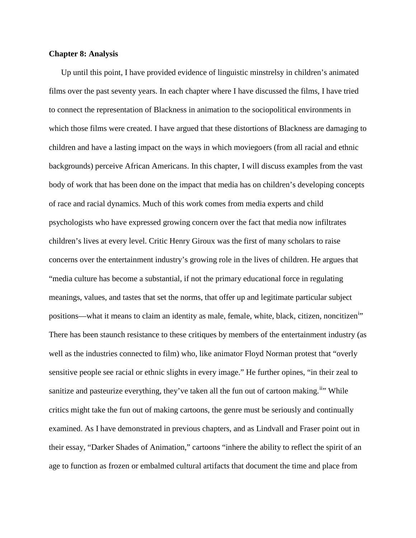## **Chapter 8: Analysis**

Up until this point, I have provided evidence of linguistic minstrelsy in children's animated films over the past seventy years. In each chapter where I have discussed the films, I have tried to connect the representation of Blackness in animation to the sociopolitical environments in which those films were created. I have argued that these distortions of Blackness are damaging to children and have a lasting impact on the ways in which moviegoers (from all racial and ethnic backgrounds) perceive African Americans. In this chapter, I will discuss examples from the vast body of work that has been done on the impact that media has on children's developing concepts of race and racial dynamics. Much of this work comes from media experts and child psychologists who have expressed growing concern over the fact that media now infiltrates children's lives at every level. Critic Henry Giroux was the first of many scholars to raise concerns over the entertainment industry's growing role in the lives of children. He argues that "media culture has become a substantial, if not the primary educational force in regulating meanings, values, and tastes that set the norms, that offer up and legitimate particular subject pos[i](#page-17-0)tions—what it means to claim an identity as male, female, white, black, citizen, noncitizen<sup>i</sup><sup>\*</sup> There has been staunch resistance to these critiques by members of the entertainment industry (as well as the industries connected to film) who, like animator Floyd Norman protest that "overly sensitive people see racial or ethnic slights in every image." He further opines, "in their zeal to sanitize and pasteurize everything, they've taken all the fun out of cartoon making.<sup>ii</sup> While critics might take the fun out of making cartoons, the genre must be seriously and continually examined. As I have demonstrated in previous chapters, and as Lindvall and Fraser point out in their essay, "Darker Shades of Animation," cartoons "inhere the ability to reflect the spirit of an age to function as frozen or embalmed cultural artifacts that document the time and place from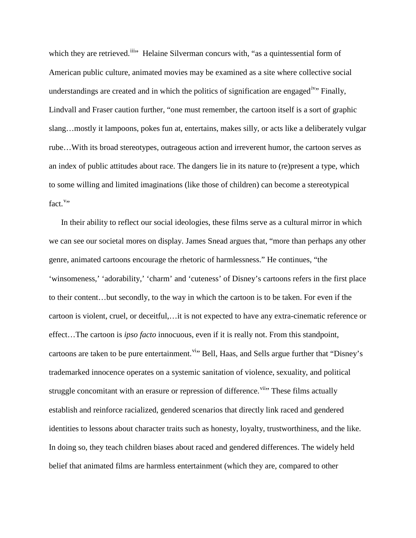which they are retrieved.<sup>iii</sup><sup>\*</sup> Helaine Silverman concurs with, "as a quintessential form of American public culture, animated movies may be examined as a site where collective social understandings are created and in which the politics of signification are engaged<sup>[iv](#page-18-1)</sup>. Finally, Lindvall and Fraser caution further, "one must remember, the cartoon itself is a sort of graphic slang…mostly it lampoons, pokes fun at, entertains, makes silly, or acts like a deliberately vulgar rube…With its broad stereotypes, outrageous action and irreverent humor, the cartoon serves as an index of public attitudes about race. The dangers lie in its nature to (re)present a type, which to some willing and limited imaginations (like those of children) can become a stereotypical fact.""

In their ability to reflect our social ideologies, these films serve as a cultural mirror in which we can see our societal mores on display. James Snead argues that, "more than perhaps any other genre, animated cartoons encourage the rhetoric of harmlessness." He continues, "the 'winsomeness,' 'adorability,' 'charm' and 'cuteness' of Disney's cartoons refers in the first place to their content…but secondly, to the way in which the cartoon is to be taken. For even if the cartoon is violent, cruel, or deceitful,…it is not expected to have any extra-cinematic reference or effect…The cartoon is *ipso facto* innocuous, even if it is really not. From this standpoint, cartoons are taken to be pure entertainment.<sup>[vi](#page-18-3)</sup> Bell, Haas, and Sells argue further that "Disney's trademarked innocence operates on a systemic sanitation of violence, sexuality, and political struggle concomitant with an erasure or repression of difference. <sup>[vii](#page-18-4)</sup> These films actually establish and reinforce racialized, gendered scenarios that directly link raced and gendered identities to lessons about character traits such as honesty, loyalty, trustworthiness, and the like. In doing so, they teach children biases about raced and gendered differences. The widely held belief that animated films are harmless entertainment (which they are, compared to other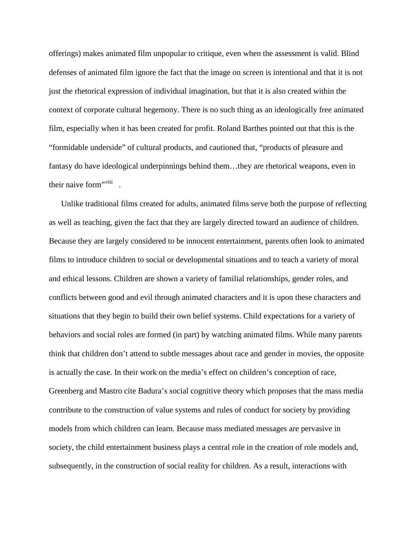offerings) makes animated film unpopular to critique, even when the assessment is valid. Blind defenses of animated film ignore the fact that the image on screen is intentional and that it is not just the rhetorical expression of individual imagination, but that it is also created within the context of corporate cultural hegemony. There is no such thing as an ideologically free animated film, especially when it has been created for profit. Roland Barthes pointed out that this is the "formidable underside" of cultural products, and cautioned that, "products of pleasure and fantasy do have ideological underpinnings behind them…they are rhetorical weapons, even in their naive form"<sup>viii</sup>

Unlike traditional films created for adults, animated films serve both the purpose of reflecting as well as teaching, given the fact that they are largely directed toward an audience of children. Because they are largely considered to be innocent entertainment, parents often look to animated films to introduce children to social or developmental situations and to teach a variety of moral and ethical lessons. Children are shown a variety of familial relationships, gender roles, and conflicts between good and evil through animated characters and it is upon these characters and situations that they begin to build their own belief systems. Child expectations for a variety of behaviors and social roles are formed (in part) by watching animated films. While many parents think that children don't attend to subtle messages about race and gender in movies, the opposite is actually the case. In their work on the media's effect on children's conception of race, Greenberg and Mastro cite Badura's social cognitive theory which proposes that the mass media contribute to the construction of value systems and rules of conduct for society by providing models from which children can learn. Because mass mediated messages are pervasive in society, the child entertainment business plays a central role in the creation of role models and, subsequently, in the construction of social reality for children. As a result, interactions with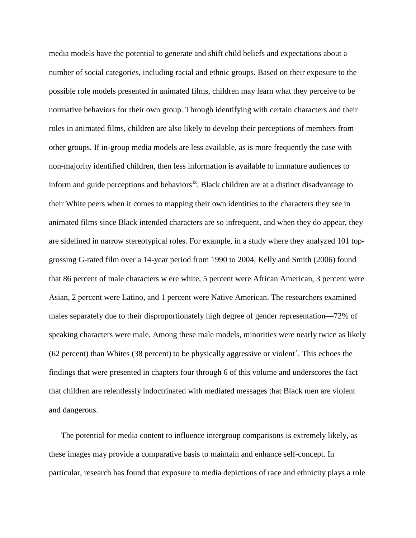media models have the potential to generate and shift child beliefs and expectations about a number of social categories, including racial and ethnic groups. Based on their exposure to the possible role models presented in animated films, children may learn what they perceive to be normative behaviors for their own group. Through identifying with certain characters and their roles in animated films, children are also likely to develop their perceptions of members from other groups. If in-group media models are less available, as is more frequently the case with non-majority identified children, then less information is available to immature audiences to inform and guide perceptions and behaviors<sup>ix</sup>. Black children are at a distinct disadvantage to their White peers when it comes to mapping their own identities to the characters they see in animated films since Black intended characters are so infrequent, and when they do appear, they are sidelined in narrow stereotypical roles. For example, in a study where they analyzed 101 topgrossing G-rated film over a 14-year period from 1990 to 2004, Kelly and Smith (2006) found that 86 percent of male characters w ere white, 5 percent were African American, 3 percent were Asian, 2 percent were Latino, and 1 percent were Native American. The researchers examined males separately due to their disproportionately high degree of gender representation—72% of speaking characters were male. Among these male models, minorities were nearly twice as likely  $(62$  percent) than Whites  $(38$  percent) to be physically aggressive or violent<sup>[x](#page-18-7)</sup>. This echoes the findings that were presented in chapters four through 6 of this volume and underscores the fact that children are relentlessly indoctrinated with mediated messages that Black men are violent and dangerous.

The potential for media content to influence intergroup comparisons is extremely likely, as these images may provide a comparative basis to maintain and enhance self-concept. In particular, research has found that exposure to media depictions of race and ethnicity plays a role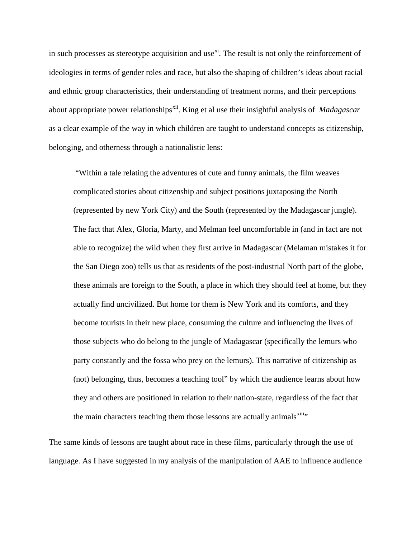in such processes as stereotype acquisition and use $x_i$ . The result is not only the reinforcement of ideologies in terms of gender roles and race, but also the shaping of children's ideas about racial and ethnic group characteristics, their understanding of treatment norms, and their perceptions about appropriate power relationships<sup>[xii](#page-18-9)</sup>. King et al use their insightful analysis of *Madagascar* as a clear example of the way in which children are taught to understand concepts as citizenship, belonging, and otherness through a nationalistic lens:

"Within a tale relating the adventures of cute and funny animals, the film weaves complicated stories about citizenship and subject positions juxtaposing the North (represented by new York City) and the South (represented by the Madagascar jungle). The fact that Alex, Gloria, Marty, and Melman feel uncomfortable in (and in fact are not able to recognize) the wild when they first arrive in Madagascar (Melaman mistakes it for the San Diego zoo) tells us that as residents of the post-industrial North part of the globe, these animals are foreign to the South, a place in which they should feel at home, but they actually find uncivilized. But home for them is New York and its comforts, and they become tourists in their new place, consuming the culture and influencing the lives of those subjects who do belong to the jungle of Madagascar (specifically the lemurs who party constantly and the fossa who prey on the lemurs). This narrative of citizenship as (not) belonging, thus, becomes a teaching tool" by which the audience learns about how they and others are positioned in relation to their nation-state, regardless of the fact that the main characters teaching them those lessons are actually animals<sup>[xiii](#page-18-10)</sup><sup>\*</sup>

The same kinds of lessons are taught about race in these films, particularly through the use of language. As I have suggested in my analysis of the manipulation of AAE to influence audience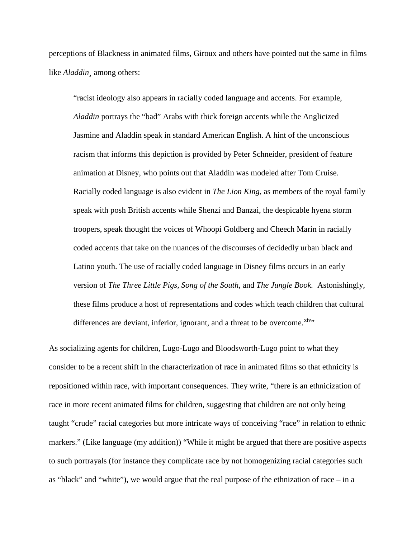perceptions of Blackness in animated films, Giroux and others have pointed out the same in films like *Aladdin¸* among others:

"racist ideology also appears in racially coded language and accents. For example, *Aladdin* portrays the "bad" Arabs with thick foreign accents while the Anglicized Jasmine and Aladdin speak in standard American English. A hint of the unconscious racism that informs this depiction is provided by Peter Schneider, president of feature animation at Disney, who points out that Aladdin was modeled after Tom Cruise. Racially coded language is also evident in *The Lion King*, as members of the royal family speak with posh British accents while Shenzi and Banzai, the despicable hyena storm troopers, speak thought the voices of Whoopi Goldberg and Cheech Marin in racially coded accents that take on the nuances of the discourses of decidedly urban black and Latino youth. The use of racially coded language in Disney films occurs in an early version of *The Three Little Pigs, Song of the South,* and *The Jungle Book.* Astonishingly, these films produce a host of representations and codes which teach children that cultural differences are deviant, inferior, ignorant, and a threat to be overcome. $x<sub>iv</sub>$ 

As socializing agents for children, Lugo-Lugo and Bloodsworth-Lugo point to what they consider to be a recent shift in the characterization of race in animated films so that ethnicity is repositioned within race, with important consequences. They write, "there is an ethnicization of race in more recent animated films for children, suggesting that children are not only being taught "crude" racial categories but more intricate ways of conceiving "race" in relation to ethnic markers." (Like language (my addition)) "While it might be argued that there are positive aspects to such portrayals (for instance they complicate race by not homogenizing racial categories such as "black" and "white"), we would argue that the real purpose of the ethnization of race – in a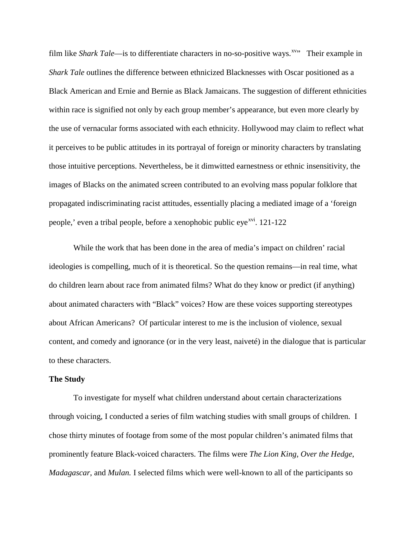film like *Shark Tale*—is to differentiate characters in no-so-positive ways.<sup>[xv](#page-18-12)</sup>" Their example in *Shark Tale* outlines the difference between ethnicized Blacknesses with Oscar positioned as a Black American and Ernie and Bernie as Black Jamaicans. The suggestion of different ethnicities within race is signified not only by each group member's appearance, but even more clearly by the use of vernacular forms associated with each ethnicity. Hollywood may claim to reflect what it perceives to be public attitudes in its portrayal of foreign or minority characters by translating those intuitive perceptions. Nevertheless, be it dimwitted earnestness or ethnic insensitivity, the images of Blacks on the animated screen contributed to an evolving mass popular folklore that propagated indiscriminating racist attitudes, essentially placing a mediated image of a 'foreign people,' even a tribal people, before a xenophobic public eye<sup>xvi</sup>. 121-122

While the work that has been done in the area of media's impact on children' racial ideologies is compelling, much of it is theoretical. So the question remains—in real time, what do children learn about race from animated films? What do they know or predict (if anything) about animated characters with "Black" voices? How are these voices supporting stereotypes about African Americans? Of particular interest to me is the inclusion of violence, sexual content, and comedy and ignorance (or in the very least, naiveté) in the dialogue that is particular to these characters.

## **The Study**

To investigate for myself what children understand about certain characterizations through voicing, I conducted a series of film watching studies with small groups of children. I chose thirty minutes of footage from some of the most popular children's animated films that prominently feature Black-voiced characters. The films were *The Lion King*, *Over the Hedge*, *Madagascar*, and *Mulan.* I selected films which were well-known to all of the participants so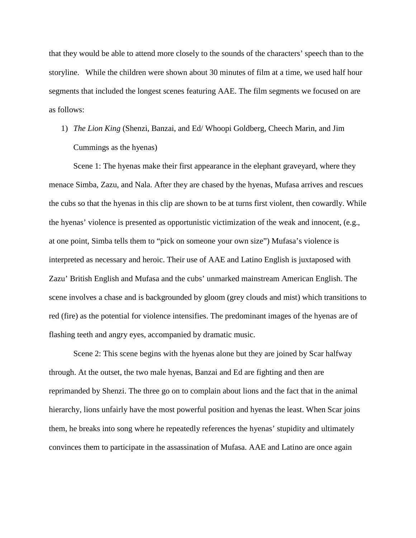that they would be able to attend more closely to the sounds of the characters' speech than to the storyline. While the children were shown about 30 minutes of film at a time, we used half hour segments that included the longest scenes featuring AAE. The film segments we focused on are as follows:

1) *The Lion King* (Shenzi, Banzai, and Ed/ Whoopi Goldberg, Cheech Marin, and Jim Cummings as the hyenas)

Scene 1: The hyenas make their first appearance in the elephant graveyard, where they menace Simba, Zazu, and Nala. After they are chased by the hyenas, Mufasa arrives and rescues the cubs so that the hyenas in this clip are shown to be at turns first violent, then cowardly. While the hyenas' violence is presented as opportunistic victimization of the weak and innocent, (e.g., at one point, Simba tells them to "pick on someone your own size") Mufasa's violence is interpreted as necessary and heroic. Their use of AAE and Latino English is juxtaposed with Zazu' British English and Mufasa and the cubs' unmarked mainstream American English. The scene involves a chase and is backgrounded by gloom (grey clouds and mist) which transitions to red (fire) as the potential for violence intensifies. The predominant images of the hyenas are of flashing teeth and angry eyes, accompanied by dramatic music.

Scene 2: This scene begins with the hyenas alone but they are joined by Scar halfway through. At the outset, the two male hyenas, Banzai and Ed are fighting and then are reprimanded by Shenzi. The three go on to complain about lions and the fact that in the animal hierarchy, lions unfairly have the most powerful position and hyenas the least. When Scar joins them, he breaks into song where he repeatedly references the hyenas' stupidity and ultimately convinces them to participate in the assassination of Mufasa. AAE and Latino are once again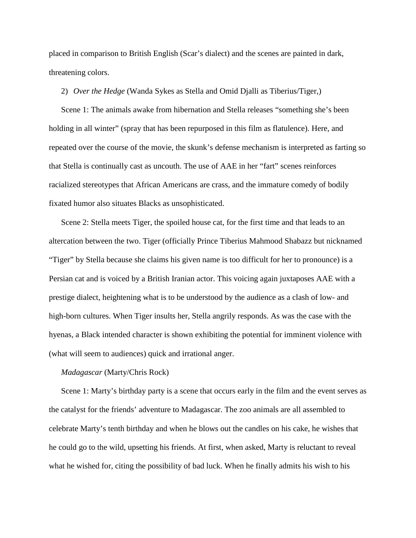placed in comparison to British English (Scar's dialect) and the scenes are painted in dark, threatening colors.

2) *Over the Hedge* (Wanda Sykes as Stella and Omid Djalli as Tiberius/Tiger,)

Scene 1: The animals awake from hibernation and Stella releases "something she's been holding in all winter" (spray that has been repurposed in this film as flatulence). Here, and repeated over the course of the movie, the skunk's defense mechanism is interpreted as farting so that Stella is continually cast as uncouth. The use of AAE in her "fart" scenes reinforces racialized stereotypes that African Americans are crass, and the immature comedy of bodily fixated humor also situates Blacks as unsophisticated.

Scene 2: Stella meets Tiger, the spoiled house cat, for the first time and that leads to an altercation between the two. Tiger (officially Prince Tiberius Mahmood Shabazz but nicknamed "Tiger" by Stella because she claims his given name is too difficult for her to pronounce) is a Persian cat and is voiced by a British Iranian actor. This voicing again juxtaposes AAE with a prestige dialect, heightening what is to be understood by the audience as a clash of low- and high-born cultures. When Tiger insults her, Stella angrily responds. As was the case with the hyenas, a Black intended character is shown exhibiting the potential for imminent violence with (what will seem to audiences) quick and irrational anger.

## *Madagascar* (Marty/Chris Rock)

Scene 1: Marty's birthday party is a scene that occurs early in the film and the event serves as the catalyst for the friends' adventure to Madagascar. The zoo animals are all assembled to celebrate Marty's tenth birthday and when he blows out the candles on his cake, he wishes that he could go to the wild, upsetting his friends. At first, when asked, Marty is reluctant to reveal what he wished for, citing the possibility of bad luck. When he finally admits his wish to his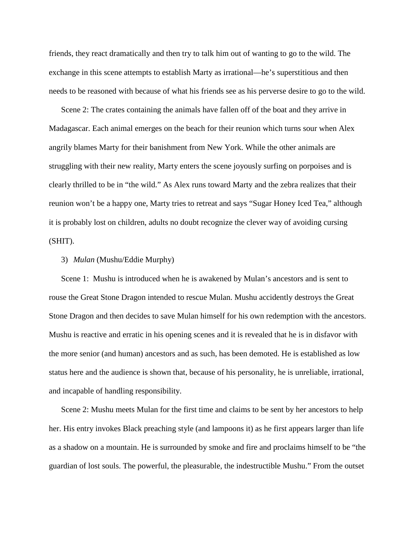friends, they react dramatically and then try to talk him out of wanting to go to the wild. The exchange in this scene attempts to establish Marty as irrational—he's superstitious and then needs to be reasoned with because of what his friends see as his perverse desire to go to the wild.

Scene 2: The crates containing the animals have fallen off of the boat and they arrive in Madagascar. Each animal emerges on the beach for their reunion which turns sour when Alex angrily blames Marty for their banishment from New York. While the other animals are struggling with their new reality, Marty enters the scene joyously surfing on porpoises and is clearly thrilled to be in "the wild." As Alex runs toward Marty and the zebra realizes that their reunion won't be a happy one, Marty tries to retreat and says "Sugar Honey Iced Tea," although it is probably lost on children, adults no doubt recognize the clever way of avoiding cursing (SHIT).

### 3) *Mulan* (Mushu/Eddie Murphy)

Scene 1: Mushu is introduced when he is awakened by Mulan's ancestors and is sent to rouse the Great Stone Dragon intended to rescue Mulan. Mushu accidently destroys the Great Stone Dragon and then decides to save Mulan himself for his own redemption with the ancestors. Mushu is reactive and erratic in his opening scenes and it is revealed that he is in disfavor with the more senior (and human) ancestors and as such, has been demoted. He is established as low status here and the audience is shown that, because of his personality, he is unreliable, irrational, and incapable of handling responsibility.

Scene 2: Mushu meets Mulan for the first time and claims to be sent by her ancestors to help her. His entry invokes Black preaching style (and lampoons it) as he first appears larger than life as a shadow on a mountain. He is surrounded by smoke and fire and proclaims himself to be "the guardian of lost souls. The powerful, the pleasurable, the indestructible Mushu." From the outset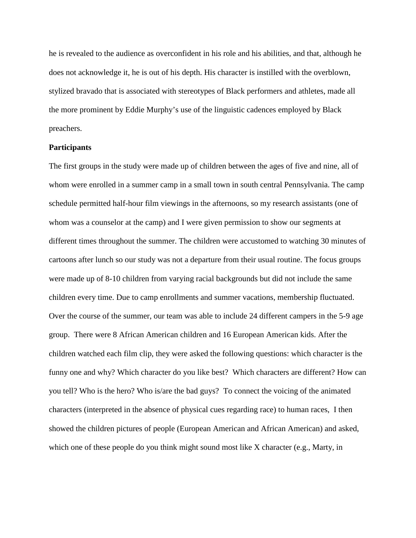he is revealed to the audience as overconfident in his role and his abilities, and that, although he does not acknowledge it, he is out of his depth. His character is instilled with the overblown, stylized bravado that is associated with stereotypes of Black performers and athletes, made all the more prominent by Eddie Murphy's use of the linguistic cadences employed by Black preachers.

### **Participants**

The first groups in the study were made up of children between the ages of five and nine, all of whom were enrolled in a summer camp in a small town in south central Pennsylvania. The camp schedule permitted half-hour film viewings in the afternoons, so my research assistants (one of whom was a counselor at the camp) and I were given permission to show our segments at different times throughout the summer. The children were accustomed to watching 30 minutes of cartoons after lunch so our study was not a departure from their usual routine. The focus groups were made up of 8-10 children from varying racial backgrounds but did not include the same children every time. Due to camp enrollments and summer vacations, membership fluctuated. Over the course of the summer, our team was able to include 24 different campers in the 5-9 age group. There were 8 African American children and 16 European American kids. After the children watched each film clip, they were asked the following questions: which character is the funny one and why? Which character do you like best? Which characters are different? How can you tell? Who is the hero? Who is/are the bad guys? To connect the voicing of the animated characters (interpreted in the absence of physical cues regarding race) to human races, I then showed the children pictures of people (European American and African American) and asked, which one of these people do you think might sound most like X character (e.g., Marty, in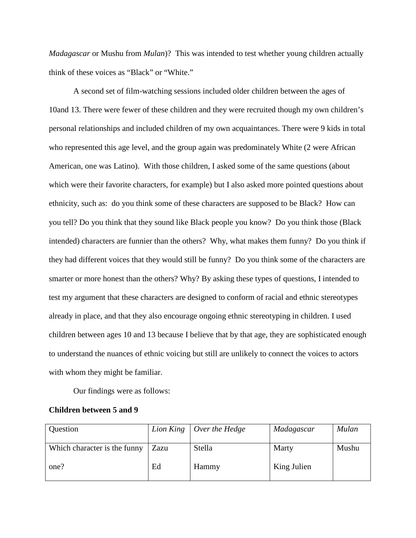*Madagascar* or Mushu from *Mulan*)? This was intended to test whether young children actually think of these voices as "Black" or "White."

A second set of film-watching sessions included older children between the ages of 10and 13. There were fewer of these children and they were recruited though my own children's personal relationships and included children of my own acquaintances. There were 9 kids in total who represented this age level, and the group again was predominately White (2 were African American, one was Latino). With those children, I asked some of the same questions (about which were their favorite characters, for example) but I also asked more pointed questions about ethnicity, such as: do you think some of these characters are supposed to be Black? How can you tell? Do you think that they sound like Black people you know? Do you think those (Black intended) characters are funnier than the others? Why, what makes them funny? Do you think if they had different voices that they would still be funny? Do you think some of the characters are smarter or more honest than the others? Why? By asking these types of questions, I intended to test my argument that these characters are designed to conform of racial and ethnic stereotypes already in place, and that they also encourage ongoing ethnic stereotyping in children. I used children between ages 10 and 13 because I believe that by that age, they are sophisticated enough to understand the nuances of ethnic voicing but still are unlikely to connect the voices to actors with whom they might be familiar.

Our findings were as follows:

#### **Children between 5 and 9**

| Question                     |      | Lion King $\vert$ Over the Hedge | Madagascar  | Mulan |
|------------------------------|------|----------------------------------|-------------|-------|
| Which character is the funny | Zazu | Stella                           | Marty       | Mushu |
| one?                         | Ed   | Hammy                            | King Julien |       |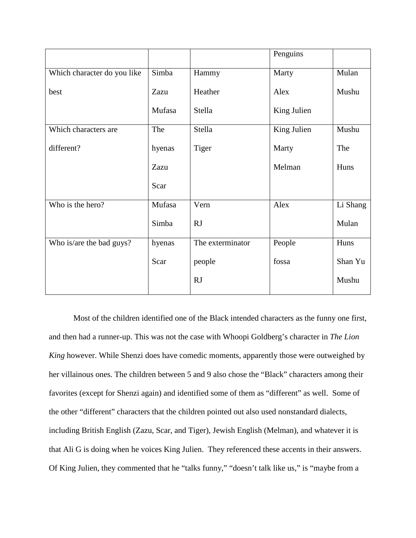|                             |        |                  | Penguins    |          |
|-----------------------------|--------|------------------|-------------|----------|
| Which character do you like | Simba  | Hammy            | Marty       | Mulan    |
| best                        | Zazu   | Heather          | Alex        | Mushu    |
|                             | Mufasa | Stella           | King Julien |          |
| Which characters are        | The    | Stella           | King Julien | Mushu    |
| different?                  | hyenas | Tiger            | Marty       | The      |
|                             | Zazu   |                  | Melman      | Huns     |
|                             | Scar   |                  |             |          |
| Who is the hero?            | Mufasa | Vern             | Alex        | Li Shang |
|                             | Simba  | <b>RJ</b>        |             | Mulan    |
| Who is/are the bad guys?    | hyenas | The exterminator | People      | Huns     |
|                             | Scar   | people           | fossa       | Shan Yu  |
|                             |        | <b>RJ</b>        |             | Mushu    |

Most of the children identified one of the Black intended characters as the funny one first, and then had a runner-up. This was not the case with Whoopi Goldberg's character in *The Lion King* however. While Shenzi does have comedic moments, apparently those were outweighed by her villainous ones. The children between 5 and 9 also chose the "Black" characters among their favorites (except for Shenzi again) and identified some of them as "different" as well. Some of the other "different" characters that the children pointed out also used nonstandard dialects, including British English (Zazu, Scar, and Tiger), Jewish English (Melman), and whatever it is that Ali G is doing when he voices King Julien. They referenced these accents in their answers. Of King Julien, they commented that he "talks funny," "doesn't talk like us," is "maybe from a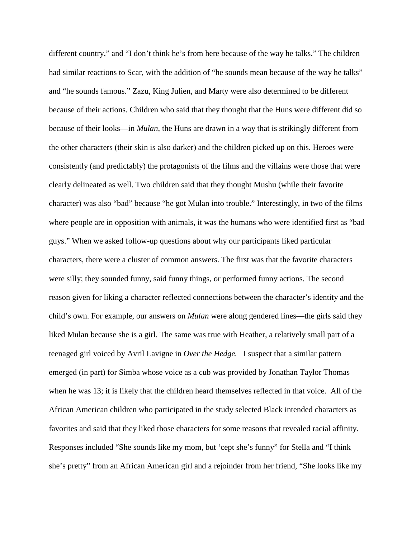different country," and "I don't think he's from here because of the way he talks." The children had similar reactions to Scar, with the addition of "he sounds mean because of the way he talks" and "he sounds famous." Zazu, King Julien, and Marty were also determined to be different because of their actions. Children who said that they thought that the Huns were different did so because of their looks—in *Mulan*, the Huns are drawn in a way that is strikingly different from the other characters (their skin is also darker) and the children picked up on this. Heroes were consistently (and predictably) the protagonists of the films and the villains were those that were clearly delineated as well. Two children said that they thought Mushu (while their favorite character) was also "bad" because "he got Mulan into trouble." Interestingly, in two of the films where people are in opposition with animals, it was the humans who were identified first as "bad guys." When we asked follow-up questions about why our participants liked particular characters, there were a cluster of common answers. The first was that the favorite characters were silly; they sounded funny, said funny things, or performed funny actions. The second reason given for liking a character reflected connections between the character's identity and the child's own. For example, our answers on *Mulan* were along gendered lines—the girls said they liked Mulan because she is a girl. The same was true with Heather, a relatively small part of a teenaged girl voiced by Avril Lavigne in *Over the Hedge.* I suspect that a similar pattern emerged (in part) for Simba whose voice as a cub was provided by Jonathan Taylor Thomas when he was 13; it is likely that the children heard themselves reflected in that voice. All of the African American children who participated in the study selected Black intended characters as favorites and said that they liked those characters for some reasons that revealed racial affinity. Responses included "She sounds like my mom, but 'cept she's funny" for Stella and "I think she's pretty" from an African American girl and a rejoinder from her friend, "She looks like my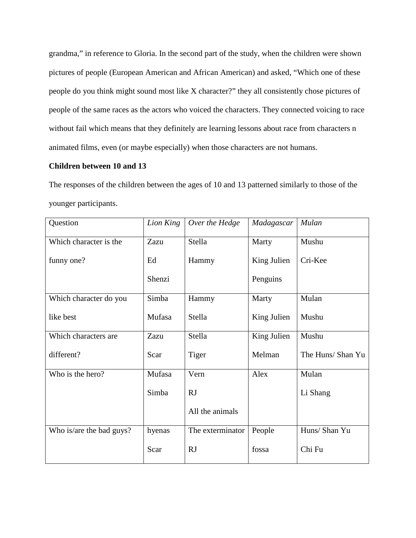grandma," in reference to Gloria. In the second part of the study, when the children were shown pictures of people (European American and African American) and asked, "Which one of these people do you think might sound most like X character?" they all consistently chose pictures of people of the same races as the actors who voiced the characters. They connected voicing to race without fail which means that they definitely are learning lessons about race from characters n animated films, even (or maybe especially) when those characters are not humans.

# **Children between 10 and 13**

The responses of the children between the ages of 10 and 13 patterned similarly to those of the younger participants.

| Question                 | Lion King | Over the Hedge   | Madagascar  | Mulan             |
|--------------------------|-----------|------------------|-------------|-------------------|
| Which character is the   | Zazu      | Stella           | Marty       | Mushu             |
| funny one?               | Ed        | Hammy            | King Julien | Cri-Kee           |
|                          | Shenzi    |                  | Penguins    |                   |
| Which character do you   | Simba     | Hammy            | Marty       | Mulan             |
| like best                | Mufasa    | Stella           | King Julien | Mushu             |
| Which characters are     | Zazu      | Stella           | King Julien | Mushu             |
| different?               | Scar      | Tiger            | Melman      | The Huns/ Shan Yu |
| Who is the hero?         | Mufasa    | Vern             | Alex        | Mulan             |
|                          | Simba     | <b>RJ</b>        |             | Li Shang          |
|                          |           | All the animals  |             |                   |
| Who is/are the bad guys? | hyenas    | The exterminator | People      | Huns/ Shan Yu     |
|                          | Scar      | <b>RJ</b>        | fossa       | Chi Fu            |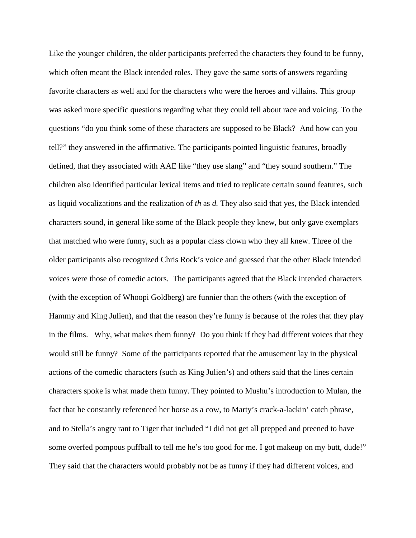Like the younger children, the older participants preferred the characters they found to be funny, which often meant the Black intended roles. They gave the same sorts of answers regarding favorite characters as well and for the characters who were the heroes and villains. This group was asked more specific questions regarding what they could tell about race and voicing. To the questions "do you think some of these characters are supposed to be Black? And how can you tell?" they answered in the affirmative. The participants pointed linguistic features, broadly defined, that they associated with AAE like "they use slang" and "they sound southern." The children also identified particular lexical items and tried to replicate certain sound features, such as liquid vocalizations and the realization of *th* as *d.* They also said that yes, the Black intended characters sound, in general like some of the Black people they knew, but only gave exemplars that matched who were funny, such as a popular class clown who they all knew. Three of the older participants also recognized Chris Rock's voice and guessed that the other Black intended voices were those of comedic actors. The participants agreed that the Black intended characters (with the exception of Whoopi Goldberg) are funnier than the others (with the exception of Hammy and King Julien), and that the reason they're funny is because of the roles that they play in the films. Why, what makes them funny? Do you think if they had different voices that they would still be funny? Some of the participants reported that the amusement lay in the physical actions of the comedic characters (such as King Julien's) and others said that the lines certain characters spoke is what made them funny. They pointed to Mushu's introduction to Mulan, the fact that he constantly referenced her horse as a cow, to Marty's crack-a-lackin' catch phrase, and to Stella's angry rant to Tiger that included "I did not get all prepped and preened to have some overfed pompous puffball to tell me he's too good for me. I got makeup on my butt, dude!" They said that the characters would probably not be as funny if they had different voices, and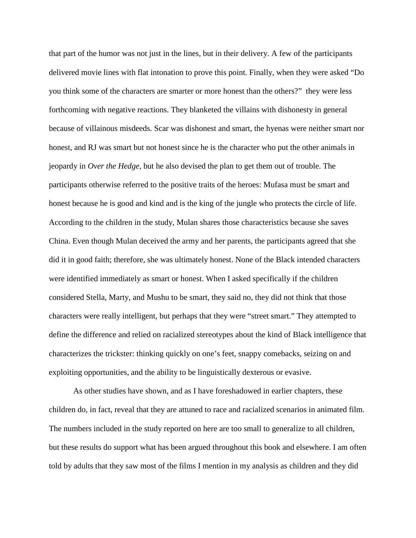that part of the humor was not just in the lines, but in their delivery. A few of the participants delivered movie lines with flat intonation to prove this point. Finally, when they were asked "Do you think some of the characters are smarter or more honest than the others?" they were less forthcoming with negative reactions. They blanketed the villains with dishonesty in general because of villainous misdeeds. Scar was dishonest and smart, the hyenas were neither smart nor honest, and RJ was smart but not honest since he is the character who put the other animals in jeopardy in *Over the Hedge,* but he also devised the plan to get them out of trouble. The participants otherwise referred to the positive traits of the heroes: Mufasa must be smart and honest because he is good and kind and is the king of the jungle who protects the circle of life. According to the children in the study, Mulan shares those characteristics because she saves China. Even though Mulan deceived the army and her parents, the participants agreed that she did it in good faith; therefore, she was ultimately honest. None of the Black intended characters were identified immediately as smart or honest. When I asked specifically if the children considered Stella, Marty, and Mushu to be smart, they said no, they did not think that those characters were really intelligent, but perhaps that they were "street smart." They attempted to define the difference and relied on racialized stereotypes about the kind of Black intelligence that characterizes the trickster: thinking quickly on one's feet, snappy comebacks, seizing on and exploiting opportunities, and the ability to be linguistically dexterous or evasive.

As other studies have shown, and as I have foreshadowed in earlier chapters, these children do, in fact, reveal that they are attuned to race and racialized scenarios in animated film. The numbers included in the study reported on here are too small to generalize to all children, but these results do support what has been argued throughout this book and elsewhere. I am often told by adults that they saw most of the films I mention in my analysis as children and they did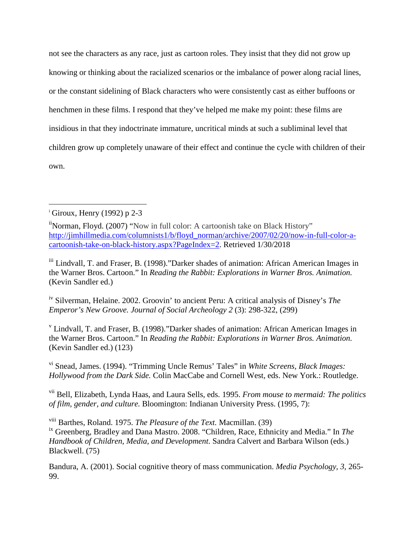not see the characters as any race, just as cartoon roles. They insist that they did not grow up knowing or thinking about the racialized scenarios or the imbalance of power along racial lines, or the constant sidelining of Black characters who were consistently cast as either buffoons or henchmen in these films. I respond that they've helped me make my point: these films are insidious in that they indoctrinate immature, uncritical minds at such a subliminal level that children grow up completely unaware of their effect and continue the cycle with children of their own.

iv Silverman, Helaine. 2002. Groovin' to ancient Peru: A critical analysis of Disney's *The Emperor's New Groove. Journal of Social Archeology 2* (3): 298-322, (299)

<sup>v</sup> Lindvall, T. and Fraser, B. (1998)."Darker shades of animation: African American Images in the Warner Bros. Cartoon." In *Reading the Rabbit: Explorations in Warner Bros. Animation.*  (Kevin Sandler ed.) (123)

vi Snead, James. (1994). "Trimming Uncle Remus' Tales" in *White Screens, Black Images: Hollywood from the Dark Side.* Colin MacCabe and Cornell West, eds. New York.: Routledge.

vii Bell, Elizabeth, Lynda Haas, and Laura Sells, eds. 1995. *From mouse to mermaid: The politics of film, gender, and culture.* Bloomington: Indianan University Press. (1995, 7):

viii Barthes, Roland. 1975. *The Pleasure of the Text.* Macmillan. (39) ix Greenberg, Bradley and Dana Mastro. 2008. "Children, Race, Ethnicity and Media." In *The Handbook of Children, Media, and Development.* Sandra Calvert and Barbara Wilson (eds.) Blackwell. (75)

Bandura, A. (2001). Social cognitive theory of mass communication. *Media Psychology, 3,* 265- 99.

<span id="page-17-0"></span>i  $\frac{1}{2}$ Giroux, Henry (1992) p 2-3

<span id="page-17-1"></span><sup>&</sup>lt;sup>ii</sup>Norman, Floyd. (2007) "Now in full color: A cartoonish take on Black History" [http://jimhillmedia.com/columnists1/b/floyd\\_norman/archive/2007/02/20/now-in-full-color-a](http://jimhillmedia.com/columnists1/b/floyd_norman/archive/2007/02/20/now-in-full-color-a-cartoonish-take-on-black-history.aspx?PageIndex=2)[cartoonish-take-on-black-history.aspx?PageIndex=2.](http://jimhillmedia.com/columnists1/b/floyd_norman/archive/2007/02/20/now-in-full-color-a-cartoonish-take-on-black-history.aspx?PageIndex=2) Retrieved 1/30/2018

iii Lindvall, T. and Fraser, B. (1998)."Darker shades of animation: African American Images in the Warner Bros. Cartoon." In *Reading the Rabbit: Explorations in Warner Bros. Animation.*  (Kevin Sandler ed.)